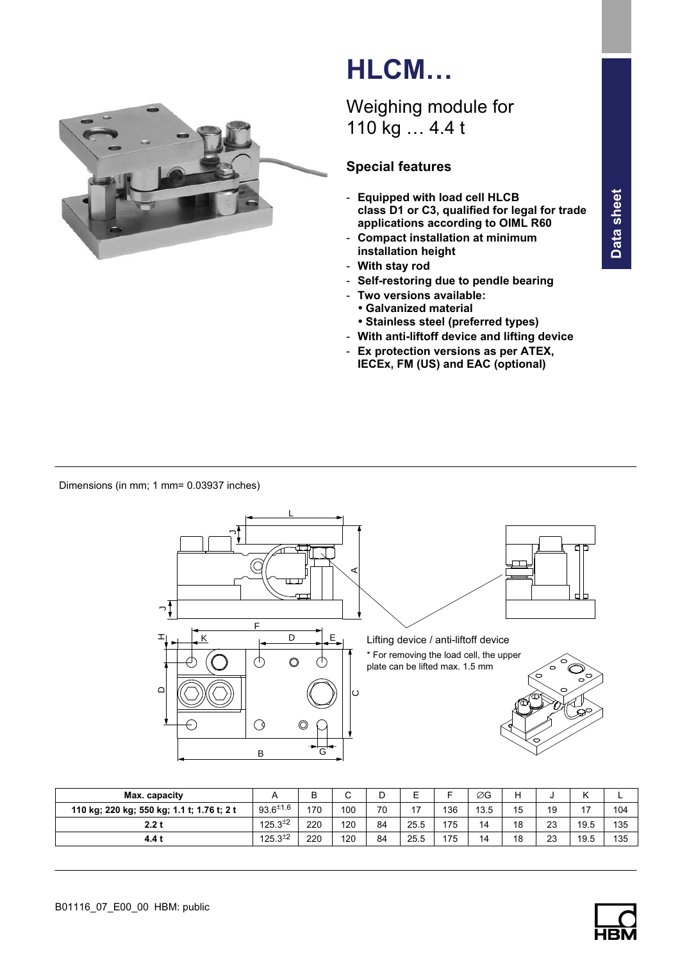

# HLCM…

# Weighing module for 110 kg … 4.4 t

# Special features

- Equipped with load cell HLCB class D1 or C3, qualified for legal for trade applications according to OIML R60
- Compact installation at minimum installation height
- With stay rod
- Self‐restoring due to pendle bearing
- Two versions available:
	- Galvanized material - Stainless steel (preferred types)
- With anti‐liftoff device and lifting device
- Ex protection versions as per ATEX, IECEx, FM (US) and EAC (optional)

Dimensions (in mm; 1 mm= 0.03937 inches)



| Max. capacity                              |                  | D<br>D | ⌒   | D  | ⊏    |     | ØG   | Н  |    | $\overline{ }$<br>N |     |
|--------------------------------------------|------------------|--------|-----|----|------|-----|------|----|----|---------------------|-----|
| 110 kg; 220 kg; 550 kg; 1.1 t; 1.76 t; 2 t | $93.6^{\pm 1.6}$ | 170    | 100 | 70 | 17   | 136 | 13.5 | 15 | 19 | 47<br>''            | 104 |
| 2.2t                                       | $125.3^{\pm 2}$  | 220    | 120 | 84 | 25.5 | 175 | 14   | 18 | 23 | 19.5                | 135 |
| 4.4 t                                      | $125.3^{\pm 2}$  | 220    | 120 | 84 | 25.5 | 175 | 14   | 18 | 23 | 19.5                | 135 |

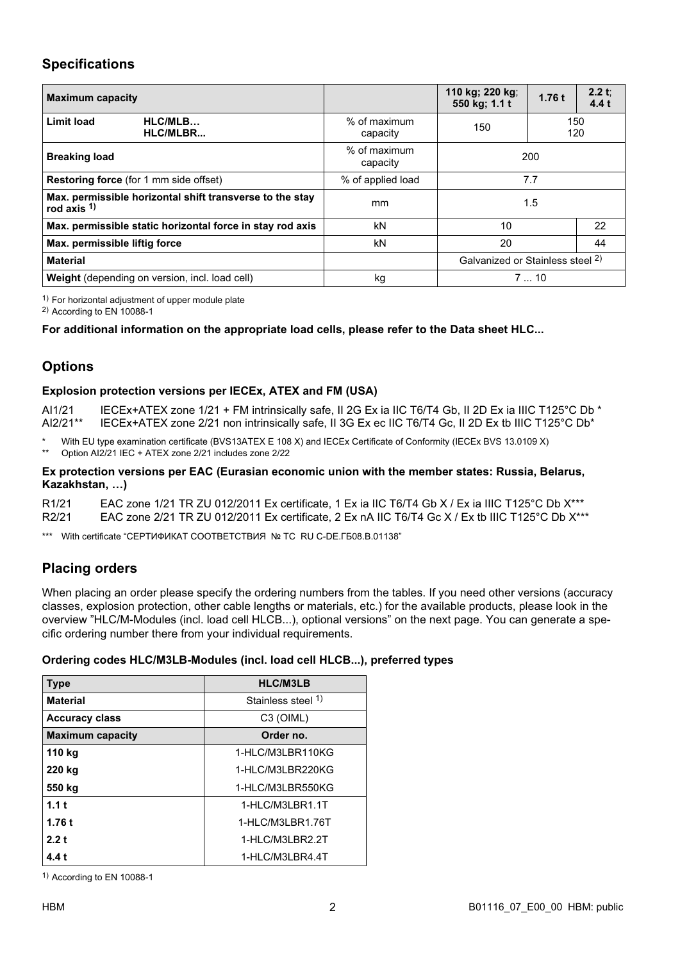#### Specifications

| <b>Maximum capacity</b>                                                    |                          | 110 kg; 220 kg;<br>550 kg; 1.1 t            | 1.76t      | 2.2 t;<br>4.4t |  |
|----------------------------------------------------------------------------|--------------------------|---------------------------------------------|------------|----------------|--|
| HLC/MLB<br><b>Limit load</b><br>HLC/MLBR                                   | % of maximum<br>capacity | 150                                         | 150<br>120 |                |  |
| <b>Breaking load</b>                                                       | % of maximum<br>capacity |                                             | 200        |                |  |
| Restoring force (for 1 mm side offset)                                     | % of applied load        | 7.7                                         |            |                |  |
| Max. permissible horizontal shift transverse to the stay<br>rod axis $1$ ) | mm                       | 1.5                                         |            |                |  |
| Max. permissible static horizontal force in stay rod axis                  | kN                       | 10                                          |            | 22             |  |
| Max. permissible liftig force                                              | kN                       | 20                                          | 44         |                |  |
| <b>Material</b>                                                            |                          | Galvanized or Stainless steel <sup>2)</sup> |            |                |  |
| <b>Weight</b> (depending on version, incl. load cell)                      | kg                       | 710                                         |            |                |  |

 $1)$  For horizontal adjustment of upper module plate

2) According to EN 10088-1

#### For additional information on the appropriate load cells, please refer to the Data sheet HLC...

### **Options**

#### Explosion protection versions per IECEx, ATEX and FM (USA)

AI1/21 IECEx+ATEX zone 1/21 + FM intrinsically safe, II 2G Ex ia IIC T6/T4 Gb, II 2D Ex ia IIIC T125°C Db \*<br>AI2/21\*\* IECEx+ATEX zone 2/21 non intrinsically safe. II 3G Ex ec IIC T6/T4 Gc. II 2D Ex tb IIIC T125°C Db\* IECEx+ATEX zone 2/21 non intrinsically safe, II 3G Ex ec IIC T6/T4 Gc, II 2D Ex tb IIIC T125°C Db\*

\* With EU type examination certificate (BVS13ATEX E 108 X) and IECEx Certificate of Conformity (IECEx BVS 13.0109 X)<br>\*\* Option Al2/21 JEC + ATEX zone 2/21 includes zone 2/22

Option AI2/21 IEC + ATEX zone 2/21 includes zone 2/22

#### Ex protection versions per EAC (Eurasian economic union with the member states: Russia, Belarus, Kazakhstan, …)

R1/21 EAC zone 1/21 TR ZU 012/2011 Ex certificate, 1 Ex ia IIC T6/T4 Gb X / Ex ia IIIC T125°C Db X\*\*\* R2/21 EAC zone 2/21 TR ZU 012/2011 Ex certificate, 2 Ex nA IIC T6/T4 Gc X / Ex tb IIIC T125°C Db X\*\*\*

\*\*\* With certificate "СЕРТИФИКАТ СООТВЕТСТВИЯ № ТС RU C-DE.ГБ08.В.01138"

## Placing orders

When placing an order please specify the ordering numbers from the tables. If you need other versions (accuracy classes, explosion protection, other cable lengths or materials, etc.) for the available products, please look in the overview "HLC/M‐Modules (incl. load cell HLCB...), optional versions" on the next page. You can generate a specific ordering number there from your individual requirements.

#### Ordering codes HLC/M3LB‐Modules (incl. load cell HLCB...), preferred types

| <b>Type</b>             | <b>HLC/M3LB</b>    |
|-------------------------|--------------------|
| <b>Material</b>         | Stainless steel 1) |
| <b>Accuracy class</b>   | C3 (OIML)          |
| <b>Maximum capacity</b> | Order no.          |
| 110 kg                  | 1-HLC/M3LBR110KG   |
| 220 kg                  | 1-HLC/M3LBR220KG   |
| 550 kg                  | 1-HLC/M3LBR550KG   |
| 1.1t                    | 1-HLC/M3LBR1.1T    |
| 1.76t                   | 1-HLC/M3LBR1.76T   |
| 2.2t                    | 1-HLC/M3LBR2.2T    |
| 4.4 t                   | 1-HLC/M3LBR4.4T    |

1) According to EN 10088-1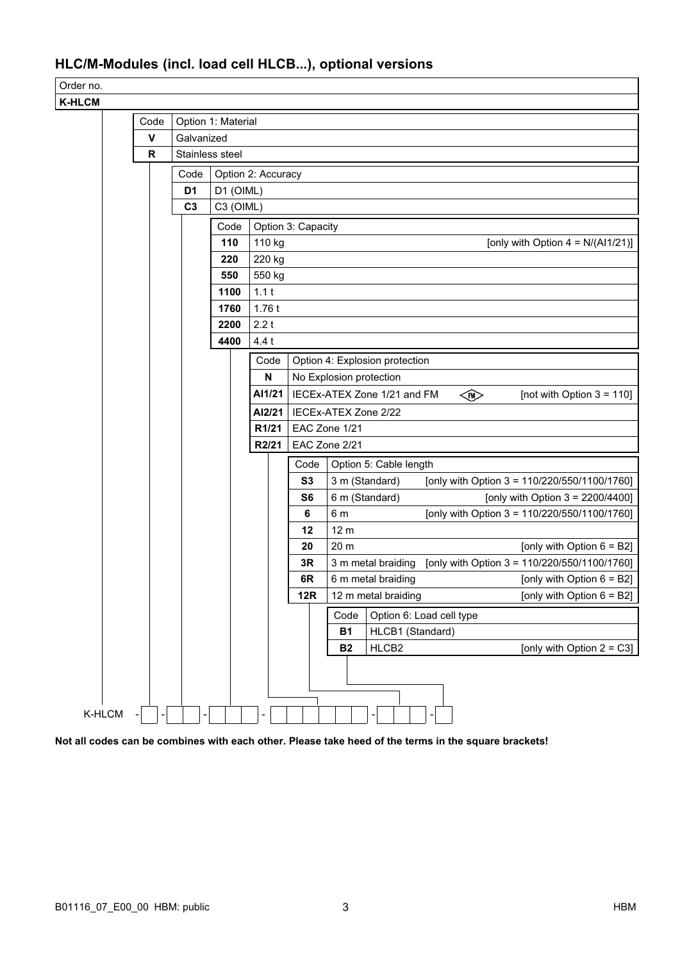# HLC/M‐Modules (incl. load cell HLCB...), optional versions

Order no.  $K$ 

| HLCM-  |              |                 |                    |                                                                  |                    |                                                                                      |  |  |
|--------|--------------|-----------------|--------------------|------------------------------------------------------------------|--------------------|--------------------------------------------------------------------------------------|--|--|
|        | Code         |                 | Option 1: Material |                                                                  |                    |                                                                                      |  |  |
|        | $\mathbf v$  | Galvanized      |                    |                                                                  |                    |                                                                                      |  |  |
|        | $\mathsf{R}$ | Stainless steel |                    |                                                                  |                    |                                                                                      |  |  |
|        |              | Code            |                    | Option 2: Accuracy                                               |                    |                                                                                      |  |  |
|        |              | D <sub>1</sub>  | D1 (OIML)          |                                                                  |                    |                                                                                      |  |  |
|        |              | C <sub>3</sub>  |                    | C3 (OIML)                                                        |                    |                                                                                      |  |  |
|        |              |                 | Code               |                                                                  | Option 3: Capacity |                                                                                      |  |  |
|        |              |                 | 110                | 110 kg<br>[only with Option $4 = N/(Al1/21)$ ]                   |                    |                                                                                      |  |  |
|        |              |                 | 220                | 220 kg                                                           |                    |                                                                                      |  |  |
|        |              |                 | 550                | 550 kg                                                           |                    |                                                                                      |  |  |
|        |              |                 | 1100               | 1.1t                                                             |                    |                                                                                      |  |  |
|        |              |                 |                    | 1.76t                                                            |                    |                                                                                      |  |  |
|        |              |                 | 2200               | 2.2t                                                             |                    |                                                                                      |  |  |
|        |              |                 | 4400               | 4.4t                                                             |                    |                                                                                      |  |  |
|        |              |                 |                    | Code                                                             |                    | Option 4: Explosion protection                                                       |  |  |
|        |              |                 |                    | $\mathsf{N}$                                                     |                    | No Explosion protection                                                              |  |  |
|        |              |                 | AI1/21             | IECEx-ATEX Zone 1/21 and FM<br>E<br>[not with Option $3 = 110$ ] |                    |                                                                                      |  |  |
|        |              |                 |                    | AI2/21                                                           |                    | IECEx-ATEX Zone 2/22                                                                 |  |  |
|        |              |                 |                    | R1/21                                                            | EAC Zone 1/21      |                                                                                      |  |  |
|        |              |                 |                    | R2/21                                                            |                    | EAC Zone 2/21                                                                        |  |  |
|        |              |                 |                    |                                                                  | Code               | Option 5: Cable length                                                               |  |  |
|        |              |                 |                    |                                                                  | S3                 | 3 m (Standard)<br>[only with Option 3 = $110/220/550/1100/1760$ ]                    |  |  |
|        |              |                 |                    |                                                                  | S <sub>6</sub>     | 6 m (Standard)<br>[only with Option $3 = 2200/4400$ ]                                |  |  |
|        |              |                 |                    |                                                                  | 6                  | [only with Option 3 = $110/220/550/1100/1760$ ]<br>6 m                               |  |  |
|        |              |                 |                    |                                                                  | 12                 | 12 <sub>m</sub>                                                                      |  |  |
|        |              |                 |                    |                                                                  | 20<br>3R           | 20 m<br>[only with Option $6 = B2$ ]<br>[only with Option 3 = 110/220/550/1100/1760] |  |  |
|        |              |                 |                    |                                                                  | 6R                 | 3 m metal braiding<br>[only with Option $6 = B2$ ]<br>6 m metal braiding             |  |  |
|        |              |                 |                    |                                                                  | 12R                | [only with Option $6 = B2$ ]<br>12 m metal braiding                                  |  |  |
|        |              |                 |                    |                                                                  |                    | Code<br>Option 6: Load cell type                                                     |  |  |
|        |              |                 |                    |                                                                  |                    | HLCB1 (Standard)<br><b>B1</b>                                                        |  |  |
|        |              |                 |                    |                                                                  |                    | HLCB2<br>[only with Option $2 = C3$ ]<br><b>B2</b>                                   |  |  |
|        |              |                 |                    |                                                                  |                    |                                                                                      |  |  |
|        |              |                 |                    |                                                                  |                    |                                                                                      |  |  |
|        |              |                 |                    |                                                                  |                    |                                                                                      |  |  |
| K-HLCM |              |                 |                    | -                                                                |                    |                                                                                      |  |  |

Not all codes can be combines with each other. Please take heed of the terms in the square brackets!